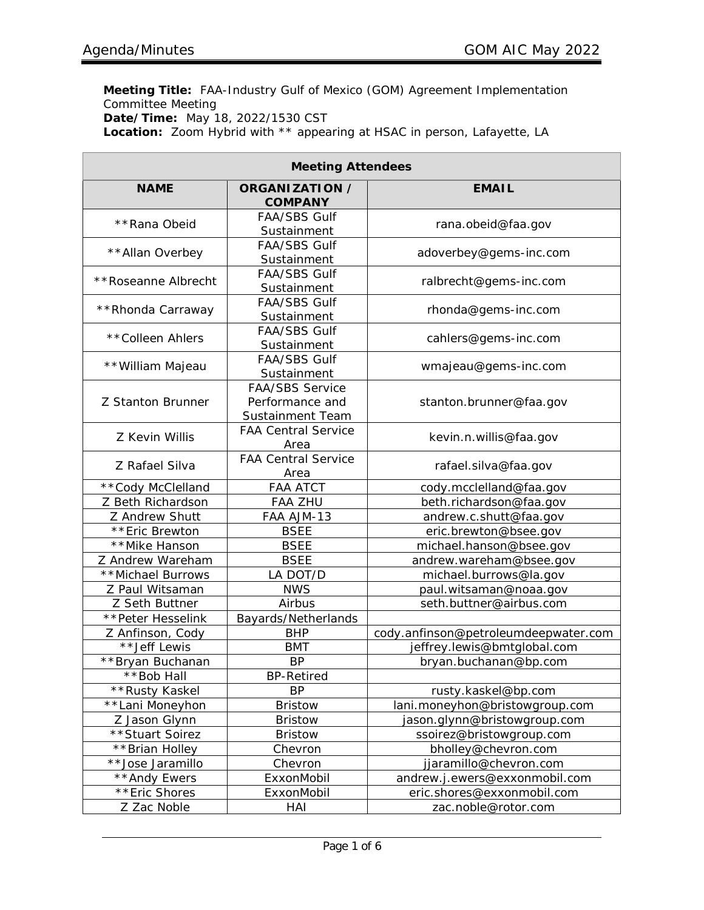**Meeting Title:** FAA-Industry Gulf of Mexico (GOM) Agreement Implementation Committee Meeting **Date/Time:** May 18, 2022/1530 CST **Location:** Zoom Hybrid with \*\* appearing at HSAC in person, Lafayette, LA

| <b>Meeting Attendees</b> |                                                               |                                      |  |  |  |  |  |  |
|--------------------------|---------------------------------------------------------------|--------------------------------------|--|--|--|--|--|--|
| <b>NAME</b>              | <b>ORGANIZATION /</b><br><b>COMPANY</b>                       | <b>EMAIL</b>                         |  |  |  |  |  |  |
| **Rana Obeid             | <b>FAA/SBS Gulf</b><br>Sustainment                            | rana.obeid@faa.gov                   |  |  |  |  |  |  |
| ** Allan Overbey         | <b>FAA/SBS Gulf</b><br>Sustainment                            | adoverbey@gems-inc.com               |  |  |  |  |  |  |
| **Roseanne Albrecht      | <b>FAA/SBS Gulf</b><br>Sustainment                            | ralbrecht@gems-inc.com               |  |  |  |  |  |  |
| ** Rhonda Carraway       | <b>FAA/SBS Gulf</b><br>Sustainment                            | rhonda@gems-inc.com                  |  |  |  |  |  |  |
| ** Colleen Ahlers        | <b>FAA/SBS Gulf</b><br>Sustainment                            | cahlers@gems-inc.com                 |  |  |  |  |  |  |
| ** William Majeau        | <b>FAA/SBS Gulf</b><br>Sustainment                            | wmajeau@gems-inc.com                 |  |  |  |  |  |  |
| <b>Z Stanton Brunner</b> | <b>FAA/SBS Service</b><br>Performance and<br>Sustainment Team | stanton.brunner@faa.gov              |  |  |  |  |  |  |
| Z Kevin Willis           | <b>FAA Central Service</b><br>Area                            | kevin.n.willis@faa.gov               |  |  |  |  |  |  |
| Z Rafael Silva           | <b>FAA Central Service</b><br>Area                            | rafael.silva@faa.gov                 |  |  |  |  |  |  |
| ** Cody McClelland       | <b>FAA ATCT</b>                                               | cody.mcclelland@faa.gov              |  |  |  |  |  |  |
| Z Beth Richardson        | <b>FAA ZHU</b>                                                | beth.richardson@faa.gov              |  |  |  |  |  |  |
| Z Andrew Shutt           | FAA AJM-13                                                    | andrew.c.shutt@faa.gov               |  |  |  |  |  |  |
| **Eric Brewton           | <b>BSEE</b>                                                   | eric.brewton@bsee.gov                |  |  |  |  |  |  |
| **Mike Hanson            | <b>BSEE</b>                                                   | michael.hanson@bsee.gov              |  |  |  |  |  |  |
| Z Andrew Wareham         | <b>BSEE</b>                                                   | andrew.wareham@bsee.gov              |  |  |  |  |  |  |
| **Michael Burrows        | LA DOT/D                                                      | michael.burrows@la.gov               |  |  |  |  |  |  |
| Z Paul Witsaman          | <b>NWS</b>                                                    | paul.witsaman@noaa.gov               |  |  |  |  |  |  |
| Z Seth Buttner           | Airbus                                                        | seth.buttner@airbus.com              |  |  |  |  |  |  |
| ** Peter Hesselink       | Bayards/Netherlands                                           |                                      |  |  |  |  |  |  |
| Z Anfinson, Cody         | <b>BHP</b>                                                    | cody.anfinson@petroleumdeepwater.com |  |  |  |  |  |  |
| **Jeff Lewis             | <b>BMT</b>                                                    | jeffrey.lewis@bmtglobal.com          |  |  |  |  |  |  |
| **Bryan Buchanan         | <b>BP</b>                                                     | bryan.buchanan@bp.com                |  |  |  |  |  |  |
| **Bob Hall               | <b>BP-Retired</b>                                             |                                      |  |  |  |  |  |  |
| **Rusty Kaskel           | <b>BP</b>                                                     | rusty.kaskel@bp.com                  |  |  |  |  |  |  |
| **Lani Moneyhon          | <b>Bristow</b>                                                | lani.moneyhon@bristowgroup.com       |  |  |  |  |  |  |
| Z Jason Glynn            | <b>Bristow</b>                                                | jason.glynn@bristowgroup.com         |  |  |  |  |  |  |
| ** Stuart Soirez         | <b>Bristow</b>                                                | ssoirez@bristowgroup.com             |  |  |  |  |  |  |
| **Brian Holley           | Chevron                                                       | bholley@chevron.com                  |  |  |  |  |  |  |
| **Jose Jaramillo         | Chevron                                                       | jjaramillo@chevron.com               |  |  |  |  |  |  |
| **Andy Ewers             | ExxonMobil                                                    | andrew.j.ewers@exxonmobil.com        |  |  |  |  |  |  |
| **Eric Shores            | ExxonMobil                                                    | eric.shores@exxonmobil.com           |  |  |  |  |  |  |
| Z Zac Noble              | HAI                                                           | zac.noble@rotor.com                  |  |  |  |  |  |  |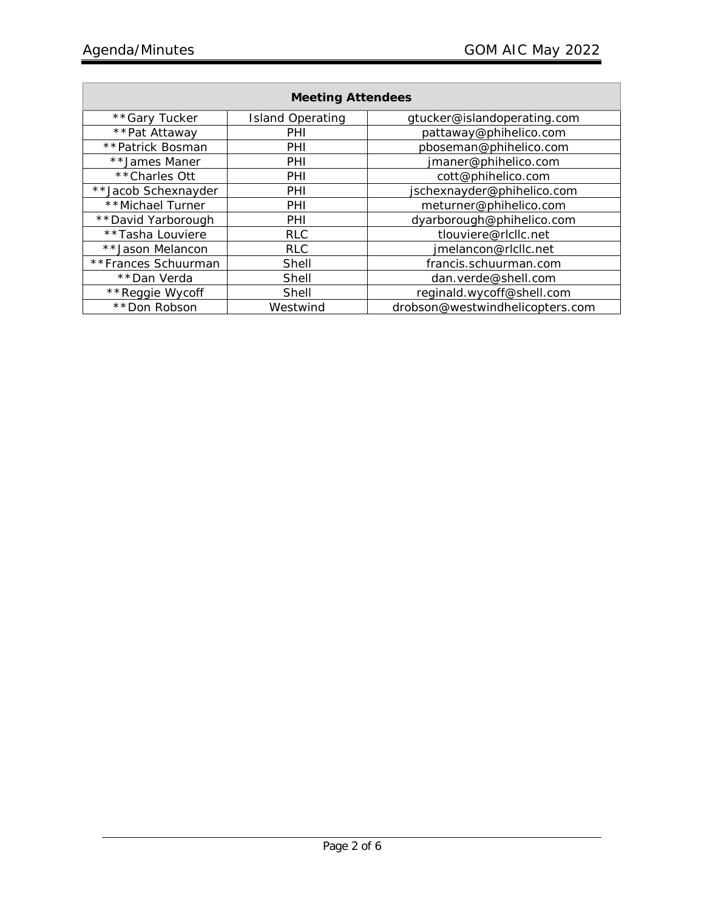| <b>Meeting Attendees</b> |                         |                                 |  |  |  |  |  |
|--------------------------|-------------------------|---------------------------------|--|--|--|--|--|
| **Gary Tucker            | <b>Island Operating</b> | gtucker@islandoperating.com     |  |  |  |  |  |
| **Pat Attaway            | PHI                     | pattaway@phihelico.com          |  |  |  |  |  |
| **Patrick Bosman         | PHI                     | pboseman@phihelico.com          |  |  |  |  |  |
| **James Maner            | PHI                     | jmaner@phihelico.com            |  |  |  |  |  |
| **Charles Ott            | PHI                     | cott@phihelico.com              |  |  |  |  |  |
| **Jacob Schexnayder      | PHI                     | jschexnayder@phihelico.com      |  |  |  |  |  |
| **Michael Turner         | PHI                     | meturner@phihelico.com          |  |  |  |  |  |
| **David Yarborough       | PHI                     | dyarborough@phihelico.com       |  |  |  |  |  |
| **Tasha Louviere         | <b>RLC</b>              | tlouviere@rlcllc.net            |  |  |  |  |  |
| **Jason Melancon         | <b>RLC</b>              | jmelancon@rlcllc.net            |  |  |  |  |  |
| **Frances Schuurman      | Shell                   | francis.schuurman.com           |  |  |  |  |  |
| **Dan Verda              | Shell                   | dan.verde@shell.com             |  |  |  |  |  |
| **Reggie Wycoff          | Shell                   | reginald.wycoff@shell.com       |  |  |  |  |  |
| **Don Robson             | Westwind                | drobson@westwindhelicopters.com |  |  |  |  |  |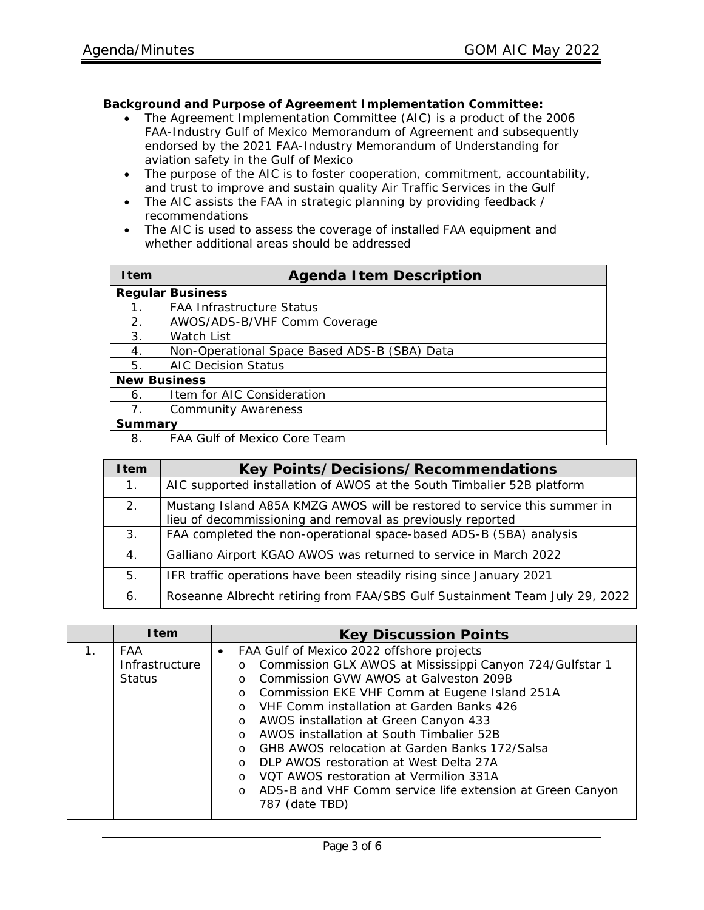## **Background and Purpose of Agreement Implementation Committee:**

- The Agreement Implementation Committee (AIC) is a product of the 2006 FAA-Industry Gulf of Mexico Memorandum of Agreement and subsequently endorsed by the 2021 FAA-Industry Memorandum of Understanding for aviation safety in the Gulf of Mexico
- The purpose of the AIC is to foster cooperation, commitment, accountability, and trust to improve and sustain quality Air Traffic Services in the Gulf
- The AIC assists the FAA in strategic planning by providing feedback / recommendations
- The AIC is used to assess the coverage of installed FAA equipment and whether additional areas should be addressed

| <b>I</b> tem        | <b>Agenda Item Description</b>               |  |  |  |  |
|---------------------|----------------------------------------------|--|--|--|--|
|                     | <b>Regular Business</b>                      |  |  |  |  |
|                     | <b>FAA Infrastructure Status</b>             |  |  |  |  |
| 2.                  | AWOS/ADS-B/VHF Comm Coverage                 |  |  |  |  |
| 3.                  | Watch List                                   |  |  |  |  |
| 4.                  | Non-Operational Space Based ADS-B (SBA) Data |  |  |  |  |
| 5.                  | <b>AIC Decision Status</b>                   |  |  |  |  |
| <b>New Business</b> |                                              |  |  |  |  |
| 6.                  | Item for AIC Consideration                   |  |  |  |  |
| 7 <sub>1</sub>      | <b>Community Awareness</b>                   |  |  |  |  |
| <b>Summary</b>      |                                              |  |  |  |  |
| 8.                  | FAA Gulf of Mexico Core Team                 |  |  |  |  |

| <b>I</b> tem | <b>Key Points/Decisions/Recommendations</b>                                                                                            |
|--------------|----------------------------------------------------------------------------------------------------------------------------------------|
| $1_{\cdot}$  | AIC supported installation of AWOS at the South Timbalier 52B platform                                                                 |
| 2.           | Mustang Island A85A KMZG AWOS will be restored to service this summer in<br>lieu of decommissioning and removal as previously reported |
| 3.           | FAA completed the non-operational space-based ADS-B (SBA) analysis                                                                     |
| 4.           | Galliano Airport KGAO AWOS was returned to service in March 2022                                                                       |
| 5.           | IFR traffic operations have been steadily rising since January 2021                                                                    |
| 6.           | Roseanne Albrecht retiring from FAA/SBS Gulf Sustainment Team July 29, 2022                                                            |

|                | <b>I</b> tem   | <b>Key Discussion Points</b>                                        |  |  |  |  |  |  |  |
|----------------|----------------|---------------------------------------------------------------------|--|--|--|--|--|--|--|
| $\mathbf{1}$ . | FAA            | FAA Gulf of Mexico 2022 offshore projects<br>$\bullet$              |  |  |  |  |  |  |  |
|                | Infrastructure | Commission GLX AWOS at Mississippi Canyon 724/Gulfstar 1<br>$\circ$ |  |  |  |  |  |  |  |
|                | <b>Status</b>  | Commission GVW AWOS at Galveston 209B<br>$\Omega$                   |  |  |  |  |  |  |  |
|                |                | o Commission EKE VHF Comm at Eugene Island 251A                     |  |  |  |  |  |  |  |
|                |                | VHF Comm installation at Garden Banks 426<br>$\cap$                 |  |  |  |  |  |  |  |
|                |                | AWOS installation at Green Canyon 433<br>$\circ$                    |  |  |  |  |  |  |  |
|                |                | o AWOS installation at South Timbalier 52B                          |  |  |  |  |  |  |  |
|                |                | GHB AWOS relocation at Garden Banks 172/Salsa<br>$\Omega$           |  |  |  |  |  |  |  |
|                |                | DLP AWOS restoration at West Delta 27A<br>$\Omega$                  |  |  |  |  |  |  |  |
|                |                | VOT AWOS restoration at Vermilion 331A<br>$\Omega$                  |  |  |  |  |  |  |  |
|                |                | ADS-B and VHF Comm service life extension at Green Canyon<br>$\cap$ |  |  |  |  |  |  |  |
|                |                | 787 (date TBD)                                                      |  |  |  |  |  |  |  |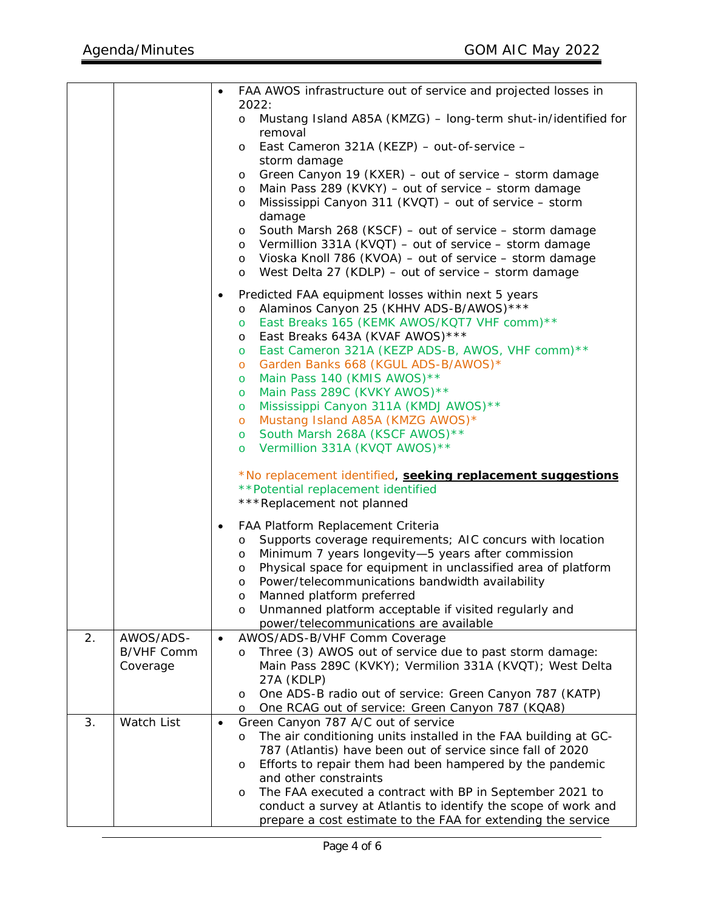|    |                               | $\bullet$ | FAA AWOS infrastructure out of service and projected losses in                                                                 |  |  |  |  |  |
|----|-------------------------------|-----------|--------------------------------------------------------------------------------------------------------------------------------|--|--|--|--|--|
|    |                               |           | 2022:                                                                                                                          |  |  |  |  |  |
|    |                               |           | Mustang Island A85A (KMZG) - long-term shut-in/identified for<br>$\circ$                                                       |  |  |  |  |  |
|    |                               |           | removal                                                                                                                        |  |  |  |  |  |
|    |                               |           | East Cameron 321A (KEZP) - out-of-service -<br>$\circ$                                                                         |  |  |  |  |  |
|    |                               |           | storm damage                                                                                                                   |  |  |  |  |  |
|    |                               |           | Green Canyon 19 (KXER) - out of service - storm damage<br>$\circ$                                                              |  |  |  |  |  |
|    |                               |           | Main Pass 289 (KVKY) - out of service - storm damage<br>O                                                                      |  |  |  |  |  |
|    |                               |           | Mississippi Canyon 311 (KVQT) - out of service - storm<br>$\circ$                                                              |  |  |  |  |  |
|    |                               |           | damage<br>South Marsh 268 (KSCF) - out of service - storm damage                                                               |  |  |  |  |  |
|    |                               |           | $\circ$<br>o Vermillion 331A (KVQT) - out of service - storm damage                                                            |  |  |  |  |  |
|    |                               |           | Vioska Knoll 786 (KVOA) - out of service - storm damage<br>$\circ$                                                             |  |  |  |  |  |
|    |                               |           | West Delta 27 (KDLP) – out of service – storm damage<br>$\circ$                                                                |  |  |  |  |  |
|    |                               | $\bullet$ | Predicted FAA equipment losses within next 5 years                                                                             |  |  |  |  |  |
|    |                               |           | Alaminos Canyon 25 (KHHV ADS-B/AWOS) ***<br>$\circ$                                                                            |  |  |  |  |  |
|    |                               |           | East Breaks 165 (KEMK AWOS/KQT7 VHF comm)**<br>$\circ$                                                                         |  |  |  |  |  |
|    |                               |           | East Breaks 643A (KVAF AWOS) ***<br>$\circ$                                                                                    |  |  |  |  |  |
|    |                               |           | East Cameron 321A (KEZP ADS-B, AWOS, VHF comm)**<br>$\circ$                                                                    |  |  |  |  |  |
|    |                               |           | Garden Banks 668 (KGUL ADS-B/AWOS)*<br>$\circ$                                                                                 |  |  |  |  |  |
|    |                               |           | Main Pass 140 (KMIS AWOS)**<br>$\circ$                                                                                         |  |  |  |  |  |
|    |                               |           | Main Pass 289C (KVKY AWOS) **<br>$\circ$<br>Mississippi Canyon 311A (KMDJ AWOS) **<br>$\circ$                                  |  |  |  |  |  |
|    |                               |           | Mustang Island A85A (KMZG AWOS)*<br>$\circ$                                                                                    |  |  |  |  |  |
|    |                               |           | South Marsh 268A (KSCF AWOS) **<br>$\circ$                                                                                     |  |  |  |  |  |
|    |                               |           | Vermillion 331A (KVQT AWOS) **<br>$\circ$                                                                                      |  |  |  |  |  |
|    |                               |           |                                                                                                                                |  |  |  |  |  |
|    |                               |           | *No replacement identified, seeking replacement suggestions<br>**Potential replacement identified                              |  |  |  |  |  |
|    |                               |           | ***Replacement not planned                                                                                                     |  |  |  |  |  |
|    |                               |           |                                                                                                                                |  |  |  |  |  |
|    |                               | $\bullet$ | FAA Platform Replacement Criteria<br>o Supports coverage requirements; AIC concurs with location                               |  |  |  |  |  |
|    |                               |           | Minimum 7 years longevity-5 years after commission<br>$\circ$                                                                  |  |  |  |  |  |
|    |                               |           | Physical space for equipment in unclassified area of platform<br>$\circ$                                                       |  |  |  |  |  |
|    |                               |           | Power/telecommunications bandwidth availability<br>O                                                                           |  |  |  |  |  |
|    |                               |           | Manned platform preferred<br>$\circ$                                                                                           |  |  |  |  |  |
|    |                               |           | Unmanned platform acceptable if visited regularly and<br>O                                                                     |  |  |  |  |  |
|    |                               |           | power/telecommunications are available                                                                                         |  |  |  |  |  |
| 2. | AWOS/ADS-                     |           | AWOS/ADS-B/VHF Comm Coverage                                                                                                   |  |  |  |  |  |
|    | <b>B/VHF Comm</b><br>Coverage |           | Three (3) AWOS out of service due to past storm damage:<br>$\circ$<br>Main Pass 289C (KVKY); Vermilion 331A (KVQT); West Delta |  |  |  |  |  |
|    |                               |           | 27A (KDLP)                                                                                                                     |  |  |  |  |  |
|    |                               |           | One ADS-B radio out of service: Green Canyon 787 (KATP)<br>$\circ$                                                             |  |  |  |  |  |
|    |                               |           | One RCAG out of service: Green Canyon 787 (KQA8)<br>$\circ$                                                                    |  |  |  |  |  |
| 3. | Watch List                    | $\bullet$ | Green Canyon 787 A/C out of service                                                                                            |  |  |  |  |  |
|    |                               |           | The air conditioning units installed in the FAA building at GC-<br>$\circ$                                                     |  |  |  |  |  |
|    |                               |           | 787 (Atlantis) have been out of service since fall of 2020                                                                     |  |  |  |  |  |
|    |                               |           | Efforts to repair them had been hampered by the pandemic<br>$\circ$<br>and other constraints                                   |  |  |  |  |  |
|    |                               |           | The FAA executed a contract with BP in September 2021 to<br>O                                                                  |  |  |  |  |  |
|    |                               |           | conduct a survey at Atlantis to identify the scope of work and                                                                 |  |  |  |  |  |
|    |                               |           | prepare a cost estimate to the FAA for extending the service                                                                   |  |  |  |  |  |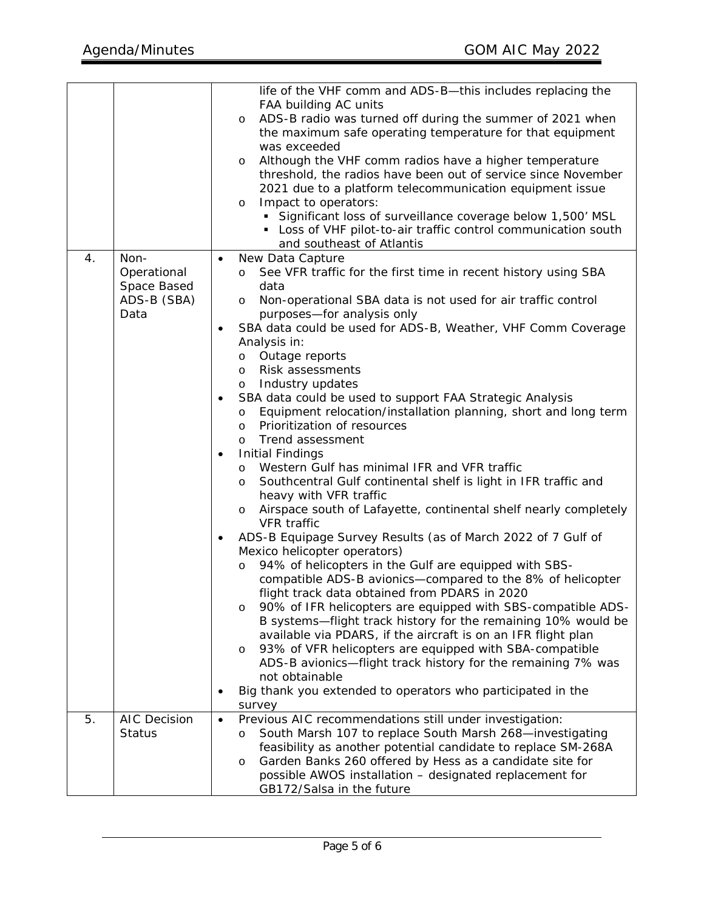|    |                                                           | life of the VHF comm and ADS-B-this includes replacing the<br>FAA building AC units<br>ADS-B radio was turned off during the summer of 2021 when<br>O<br>the maximum safe operating temperature for that equipment<br>was exceeded<br>Although the VHF comm radios have a higher temperature<br>O<br>threshold, the radios have been out of service since November<br>2021 due to a platform telecommunication equipment issue<br>Impact to operators:<br>O<br>• Significant loss of surveillance coverage below 1,500' MSL<br>• Loss of VHF pilot-to-air traffic control communication south<br>and southeast of Atlantis                                                                                                                                                                                                                                                                                                                                                                                                                                                                                                                                                                                                                                                                                                                                                                                                                                                                                                                                                                     |  |
|----|-----------------------------------------------------------|------------------------------------------------------------------------------------------------------------------------------------------------------------------------------------------------------------------------------------------------------------------------------------------------------------------------------------------------------------------------------------------------------------------------------------------------------------------------------------------------------------------------------------------------------------------------------------------------------------------------------------------------------------------------------------------------------------------------------------------------------------------------------------------------------------------------------------------------------------------------------------------------------------------------------------------------------------------------------------------------------------------------------------------------------------------------------------------------------------------------------------------------------------------------------------------------------------------------------------------------------------------------------------------------------------------------------------------------------------------------------------------------------------------------------------------------------------------------------------------------------------------------------------------------------------------------------------------------|--|
| 4. | Non-<br>Operational<br>Space Based<br>ADS-B (SBA)<br>Data | New Data Capture<br>See VFR traffic for the first time in recent history using SBA<br>$\circ$<br>data<br>Non-operational SBA data is not used for air traffic control<br>$\circ$<br>purposes-for analysis only<br>SBA data could be used for ADS-B, Weather, VHF Comm Coverage<br>Analysis in:<br>o Outage reports<br>Risk assessments<br>$\circ$<br>Industry updates<br>$\circ$<br>SBA data could be used to support FAA Strategic Analysis<br>Equipment relocation/installation planning, short and long term<br>O<br>Prioritization of resources<br>$\circ$<br>Trend assessment<br>$\circ$<br><b>Initial Findings</b><br>Western Gulf has minimal IFR and VFR traffic<br>$\circ$<br>Southcentral Gulf continental shelf is light in IFR traffic and<br>$\circ$<br>heavy with VFR traffic<br>Airspace south of Lafayette, continental shelf nearly completely<br>$\circ$<br>VFR traffic<br>ADS-B Equipage Survey Results (as of March 2022 of 7 Gulf of<br>Mexico helicopter operators)<br>94% of helicopters in the Gulf are equipped with SBS-<br>O<br>compatible ADS-B avionics-compared to the 8% of helicopter<br>flight track data obtained from PDARS in 2020<br>90% of IFR helicopters are equipped with SBS-compatible ADS-<br>O<br>B systems-flight track history for the remaining 10% would be<br>available via PDARS, if the aircraft is on an IFR flight plan<br>93% of VFR helicopters are equipped with SBA-compatible<br>O<br>ADS-B avionics-flight track history for the remaining 7% was<br>not obtainable<br>Big thank you extended to operators who participated in the |  |
|    |                                                           | survey                                                                                                                                                                                                                                                                                                                                                                                                                                                                                                                                                                                                                                                                                                                                                                                                                                                                                                                                                                                                                                                                                                                                                                                                                                                                                                                                                                                                                                                                                                                                                                                         |  |
| 5. | <b>AIC Decision</b><br><b>Status</b>                      | Previous AIC recommendations still under investigation:<br>South Marsh 107 to replace South Marsh 268-investigating<br>O<br>feasibility as another potential candidate to replace SM-268A<br>Garden Banks 260 offered by Hess as a candidate site for<br>O<br>possible AWOS installation - designated replacement for<br>GB172/Salsa in the future                                                                                                                                                                                                                                                                                                                                                                                                                                                                                                                                                                                                                                                                                                                                                                                                                                                                                                                                                                                                                                                                                                                                                                                                                                             |  |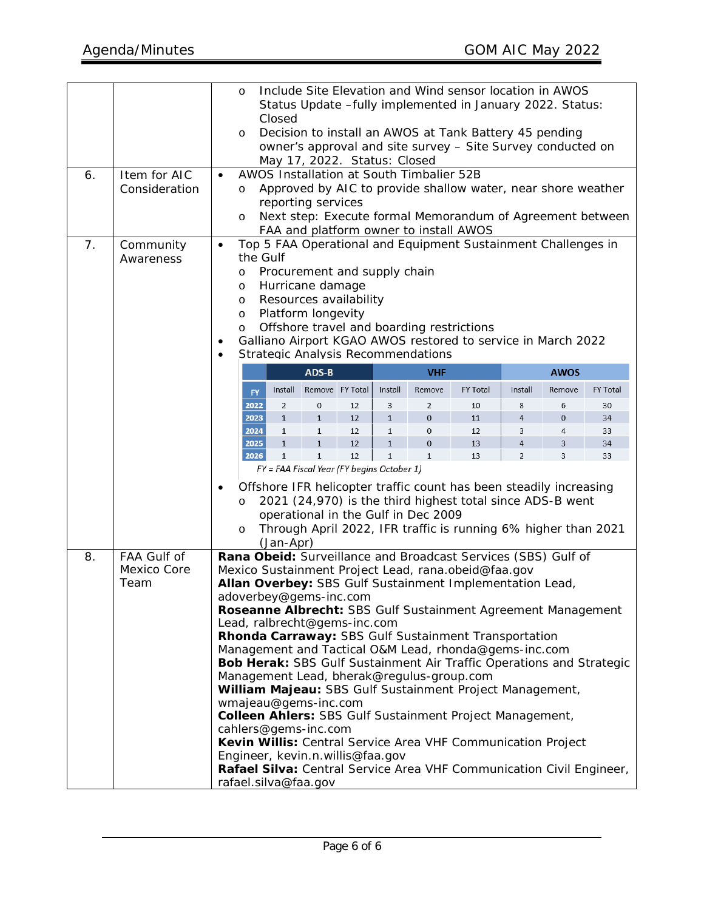| 6.<br>7. | Item for AIC<br>Consideration<br>Community<br>Awareness | Include Site Elevation and Wind sensor location in AWOS<br>$\circ$<br>Status Update -fully implemented in January 2022. Status:<br>Closed<br>Decision to install an AWOS at Tank Battery 45 pending<br>O<br>owner's approval and site survey - Site Survey conducted on<br>May 17, 2022. Status: Closed<br>AWOS Installation at South Timbalier 52B<br>$\bullet$<br>Approved by AIC to provide shallow water, near shore weather<br>$\circ$<br>reporting services<br>Next step: Execute formal Memorandum of Agreement between<br>$\circ$<br>FAA and platform owner to install AWOS<br>Top 5 FAA Operational and Equipment Sustainment Challenges in<br>$\bullet$<br>the Gulf<br>Procurement and supply chain<br>O<br>Hurricane damage<br>O<br>Resources availability<br>$\circ$ |                    |                                |                                            |          |              |                                           |                                                                                                                                                                                                   |                     |                  |                 |
|----------|---------------------------------------------------------|----------------------------------------------------------------------------------------------------------------------------------------------------------------------------------------------------------------------------------------------------------------------------------------------------------------------------------------------------------------------------------------------------------------------------------------------------------------------------------------------------------------------------------------------------------------------------------------------------------------------------------------------------------------------------------------------------------------------------------------------------------------------------------|--------------------|--------------------------------|--------------------------------------------|----------|--------------|-------------------------------------------|---------------------------------------------------------------------------------------------------------------------------------------------------------------------------------------------------|---------------------|------------------|-----------------|
|          |                                                         | ٠<br>$\bullet$                                                                                                                                                                                                                                                                                                                                                                                                                                                                                                                                                                                                                                                                                                                                                                   | $\circ$<br>$\circ$ |                                | Platform longevity                         |          |              | <b>Strategic Analysis Recommendations</b> | Offshore travel and boarding restrictions<br>Galliano Airport KGAO AWOS restored to service in March 2022                                                                                         |                     |                  |                 |
|          |                                                         |                                                                                                                                                                                                                                                                                                                                                                                                                                                                                                                                                                                                                                                                                                                                                                                  |                    |                                | ADS-B                                      |          |              | <b>VHF</b>                                |                                                                                                                                                                                                   |                     | <b>AWOS</b>      |                 |
|          |                                                         |                                                                                                                                                                                                                                                                                                                                                                                                                                                                                                                                                                                                                                                                                                                                                                                  | <b>FY</b>          | Install                        | Remove FY Total                            |          | Install      | Remove                                    | <b>FY Total</b>                                                                                                                                                                                   | Install             | Remove           | <b>FY Total</b> |
|          |                                                         |                                                                                                                                                                                                                                                                                                                                                                                                                                                                                                                                                                                                                                                                                                                                                                                  | 2022<br>2023       | $\overline{2}$<br>$\mathbf{1}$ | 0<br>$\mathbf{1}$                          | 12<br>12 | 3<br>$1\,$   | 2<br>$\mathbf 0$                          | 10<br>11                                                                                                                                                                                          | 8<br>$\overline{4}$ | 6<br>$\mathbf 0$ | 30<br>34        |
|          |                                                         |                                                                                                                                                                                                                                                                                                                                                                                                                                                                                                                                                                                                                                                                                                                                                                                  | 2024               | $\mathbf{1}$                   | $\mathbf{1}$                               | 12       | $\mathbf{1}$ | 0                                         | 12                                                                                                                                                                                                | 3                   | 4                | 33              |
|          |                                                         |                                                                                                                                                                                                                                                                                                                                                                                                                                                                                                                                                                                                                                                                                                                                                                                  | 2025               | $\mathbf{1}$                   | $\mathbf{1}$                               | 12       | $\mathbf{1}$ | $\mathbf 0$                               | 13                                                                                                                                                                                                | 4                   | 3                | 34              |
|          |                                                         |                                                                                                                                                                                                                                                                                                                                                                                                                                                                                                                                                                                                                                                                                                                                                                                  | 2026               | $\mathbf{1}$                   | $\mathbf{1}$                               | 12       | $1\,$        | $\mathbf{1}$                              | 13                                                                                                                                                                                                | $\overline{2}$      | 3                | 33              |
|          |                                                         | ٠                                                                                                                                                                                                                                                                                                                                                                                                                                                                                                                                                                                                                                                                                                                                                                                | $\circ$<br>$\circ$ | (Jan-Apr)                      | FY = FAA Fiscal Year (FY begins October 1) |          |              | operational in the Gulf in Dec 2009       | Offshore IFR helicopter traffic count has been steadily increasing<br>2021 (24,970) is the third highest total since ADS-B went<br>Through April 2022, IFR traffic is running 6% higher than 2021 |                     |                  |                 |
| 8.       | FAA Gulf of                                             |                                                                                                                                                                                                                                                                                                                                                                                                                                                                                                                                                                                                                                                                                                                                                                                  |                    |                                |                                            |          |              |                                           | Rana Obeid: Surveillance and Broadcast Services (SBS) Gulf of                                                                                                                                     |                     |                  |                 |
|          | Mexico Core<br>Team                                     |                                                                                                                                                                                                                                                                                                                                                                                                                                                                                                                                                                                                                                                                                                                                                                                  |                    |                                |                                            |          |              |                                           | Mexico Sustainment Project Lead, rana.obeid@faa.gov<br>Allan Overbey: SBS Gulf Sustainment Implementation Lead,                                                                                   |                     |                  |                 |
|          |                                                         |                                                                                                                                                                                                                                                                                                                                                                                                                                                                                                                                                                                                                                                                                                                                                                                  |                    |                                |                                            |          |              |                                           |                                                                                                                                                                                                   |                     |                  |                 |
|          |                                                         | adoverbey@gems-inc.com<br>Roseanne Albrecht: SBS Gulf Sustainment Agreement Management                                                                                                                                                                                                                                                                                                                                                                                                                                                                                                                                                                                                                                                                                           |                    |                                |                                            |          |              |                                           |                                                                                                                                                                                                   |                     |                  |                 |
|          |                                                         | Lead, ralbrecht@gems-inc.com                                                                                                                                                                                                                                                                                                                                                                                                                                                                                                                                                                                                                                                                                                                                                     |                    |                                |                                            |          |              |                                           |                                                                                                                                                                                                   |                     |                  |                 |
|          |                                                         | Rhonda Carraway: SBS Gulf Sustainment Transportation<br>Management and Tactical O&M Lead, rhonda@gems-inc.com                                                                                                                                                                                                                                                                                                                                                                                                                                                                                                                                                                                                                                                                    |                    |                                |                                            |          |              |                                           |                                                                                                                                                                                                   |                     |                  |                 |
|          |                                                         | Bob Herak: SBS Gulf Sustainment Air Traffic Operations and Strategic                                                                                                                                                                                                                                                                                                                                                                                                                                                                                                                                                                                                                                                                                                             |                    |                                |                                            |          |              |                                           |                                                                                                                                                                                                   |                     |                  |                 |
|          |                                                         | Management Lead, bherak@regulus-group.com<br>William Majeau: SBS Gulf Sustainment Project Management,                                                                                                                                                                                                                                                                                                                                                                                                                                                                                                                                                                                                                                                                            |                    |                                |                                            |          |              |                                           |                                                                                                                                                                                                   |                     |                  |                 |
|          |                                                         |                                                                                                                                                                                                                                                                                                                                                                                                                                                                                                                                                                                                                                                                                                                                                                                  |                    |                                | wmajeau@gems-inc.com                       |          |              |                                           |                                                                                                                                                                                                   |                     |                  |                 |
|          |                                                         |                                                                                                                                                                                                                                                                                                                                                                                                                                                                                                                                                                                                                                                                                                                                                                                  |                    |                                |                                            |          |              |                                           | Colleen Ahlers: SBS Gulf Sustainment Project Management,                                                                                                                                          |                     |                  |                 |
|          |                                                         |                                                                                                                                                                                                                                                                                                                                                                                                                                                                                                                                                                                                                                                                                                                                                                                  |                    |                                | cahlers@gems-inc.com                       |          |              |                                           |                                                                                                                                                                                                   |                     |                  |                 |
|          |                                                         |                                                                                                                                                                                                                                                                                                                                                                                                                                                                                                                                                                                                                                                                                                                                                                                  |                    |                                | Engineer, kevin.n.willis@faa.gov           |          |              |                                           | Kevin Willis: Central Service Area VHF Communication Project                                                                                                                                      |                     |                  |                 |
|          |                                                         |                                                                                                                                                                                                                                                                                                                                                                                                                                                                                                                                                                                                                                                                                                                                                                                  |                    |                                | rafael.silva@faa.gov                       |          |              |                                           | Rafael Silva: Central Service Area VHF Communication Civil Engineer,                                                                                                                              |                     |                  |                 |